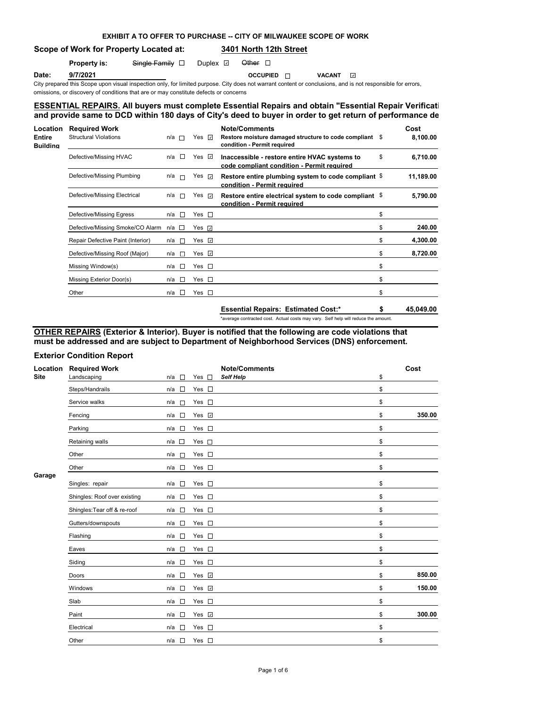## **EXHIBIT A TO OFFER TO PURCHASE -- CITY OF MILWAUKEE SCOPE OF WORK**

**Scope of Work for Property Located at: 3401 North 12th Street**

| <b>Property is:</b> | $Sing$ le Family $\square$ | Duplex $\boxdot$ | Other $\Box$ |
|---------------------|----------------------------|------------------|--------------|
|                     |                            |                  |              |

**Date: 9/7/2021 OCCUPIED OCCUPIED VACANT** 

City prepared this Scope upon visual inspection only, for limited purpose. City does not warrant content or conclusions, and is not responsible for errors, omissions, or discovery of conditions that are or may constitute defects or concerns

## **ESSENTIAL REPAIRS. All buyers must complete Essential Repairs and obtain "Essential Repair Verification Form"** and provide same to DCD within 180 days of City's deed to buyer in order to get return of performance de

| <b>Location</b><br><b>Entire</b><br><b>Building</b> | <b>Required Work</b><br>Structural Violations | n/a | <b>The Second</b> | Yes ⊽              | <b>Note/Comments</b><br>Restore moisture damaged structure to code compliant \$<br>condition - Permit required | Cost<br>8,100.00 |
|-----------------------------------------------------|-----------------------------------------------|-----|-------------------|--------------------|----------------------------------------------------------------------------------------------------------------|------------------|
|                                                     | Defective/Missing HVAC                        | n/a | $\Box$            | Yes $\vee$         | Inaccessible - restore entire HVAC systems to<br>code compliant condition - Permit required                    | \$<br>6,710.00   |
|                                                     | Defective/Missing Plumbing                    | n/a | $\Box$            | Yes ⊽              | Restore entire plumbing system to code compliant \$<br>condition - Permit required                             | 11,189.00        |
|                                                     | Defective/Missing Electrical                  | n/a | П                 | Yes ⊽              | Restore entire electrical system to code compliant \$<br>condition - Permit required                           | 5,790.00         |
|                                                     | Defective/Missing Egress                      | n/a | Ð                 | Yes $\square$      |                                                                                                                | \$               |
|                                                     | Defective/Missing Smoke/CO Alarm n/a □        |     |                   | Yes $\overline{v}$ |                                                                                                                | \$<br>240.00     |
|                                                     | Repair Defective Paint (Interior)             | n/a | $\overline{a}$    | Yes $\overline{v}$ |                                                                                                                | \$<br>4,300.00   |
|                                                     | Defective/Missing Roof (Major)                | n/a | <b>TER</b>        | Yes ⊡              |                                                                                                                | \$<br>8,720.00   |
|                                                     | Missing Window(s)                             | n/a | л                 | Yes $\square$      |                                                                                                                | \$               |
|                                                     | Missing Exterior Door(s)                      | n/a | $\sim$            | Yes $\square$      |                                                                                                                | \$               |
|                                                     | Other                                         | n/a | $\Box$            | Yes $\square$      |                                                                                                                | \$               |

**Essential Repairs: Estimated Cost:\* \$ 45,049.00** \*average contracted cost. Actual costs may vary. Self help will reduce the amount.

## **OTHER REPAIRS (Exterior & Interior). Buyer is notified that the following are code violations that must be addressed and are subject to Department of Neighborhood Services (DNS) enforcement.**

## **Exterior Condition Report**

| Location | <b>Required Work</b>         |                                 |                                    | <b>Note/Comments</b> | Cost         |
|----------|------------------------------|---------------------------------|------------------------------------|----------------------|--------------|
| Site     | Landscaping                  | n/a<br>$\sim$                   | Yes $\square$                      | Self Help            | \$           |
|          | Steps/Handrails              | $\Box$<br>n/a                   | Yes $\square$                      |                      | \$           |
|          | Service walks                | n/a<br>П                        | Yes $\square$                      |                      | \$           |
|          | Fencing                      | $\sim$<br>n/a                   | Yes v                              |                      | \$<br>350.00 |
|          | Parking                      | $\sim$<br>n/a                   | Yes $\square$                      |                      | \$           |
|          | Retaining walls              | $\overline{\phantom{a}}$<br>n/a | Yes $\square$                      |                      | \$           |
|          | Other                        | n/a<br>$\Box$                   | Yes $\square$                      |                      | \$           |
|          | Other                        | n/a<br>$\Box$                   | Yes $\square$                      |                      | \$           |
| Garage   | Singles: repair              | n/a<br>$\sim$                   | Yes $\square$                      |                      | \$           |
|          | Shingles: Roof over existing | $\Box$<br>n/a                   | Yes $\square$                      |                      | \$           |
|          | Shingles: Tear off & re-roof | $\sim$<br>n/a                   | Yes $\square$                      |                      | \$           |
|          | Gutters/downspouts           | $\Box$<br>n/a                   | Yes $\square$                      |                      | \$           |
|          | Flashing                     | П<br>n/a                        | Yes $\square$                      |                      | \$           |
|          | Eaves                        | $\Box$<br>n/a                   | Yes $\square$                      |                      | \$           |
|          | Siding                       | $\Box$<br>n/a                   | Yes $\square$                      |                      | \$           |
|          | Doors                        | $\sim$<br>n/a                   | Yes v                              |                      | \$<br>850.00 |
|          | Windows                      | n/a<br>$\sim$                   | Yes <b>v</b>                       |                      | \$<br>150.00 |
|          | Slab                         | $\Box$<br>n/a                   | $\mathcal{L}_{\mathcal{A}}$<br>Yes |                      | \$           |
|          | Paint                        | $\Box$<br>n/a                   | Yes <b>☑</b>                       |                      | \$<br>300.00 |
|          | Electrical                   | n/a<br>$\Box$                   | $\sim$<br>Yes                      |                      | \$           |
|          | Other                        | n/a<br>$\sim$                   | Yes $\square$                      |                      | \$           |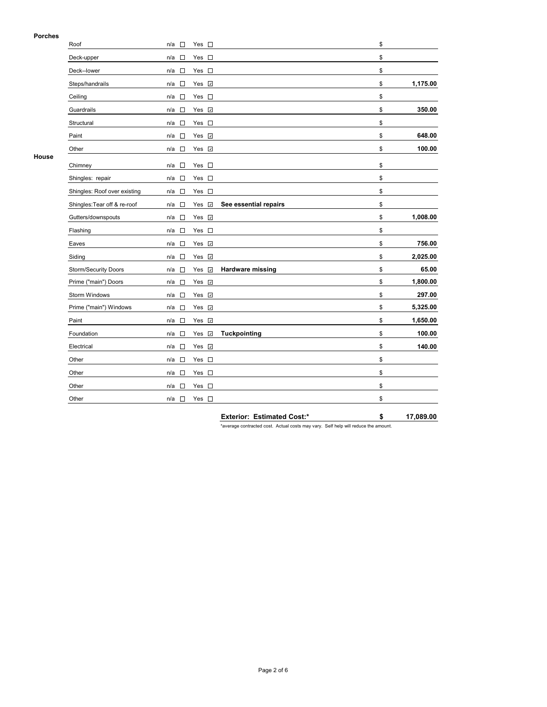### **Porches**

| гичнеэ | Roof                         | $\Box$<br>n/a                      | Yes $\square$  |                       | \$             |
|--------|------------------------------|------------------------------------|----------------|-----------------------|----------------|
|        | Deck-upper                   | n/a<br>$\overline{\phantom{a}}$    | Yes<br>$\Box$  |                       | \$             |
|        | Deck--lower                  | $\sim$<br>n/a                      | Yes $\square$  |                       | \$             |
|        | Steps/handrails              | $\overline{\phantom{a}}$<br>n/a    | Yes <b>v</b>   |                       | \$<br>1,175.00 |
|        | Ceiling                      | $\sim$<br>n/a                      | Yes $\square$  |                       | \$             |
|        | Guardrails                   | $\overline{\phantom{a}}$<br>n/a    | Yes <b>☑</b>   |                       | \$<br>350.00   |
|        | Structural                   | $\Box$<br>n/a                      | Yes $\square$  |                       | \$             |
|        | Paint                        | n/a<br>$\overline{\phantom{a}}$    | Yes <b>☑</b>   |                       | \$<br>648.00   |
|        | Other                        | $\sim$<br>n/a                      | Yes V          |                       | \$<br>100.00   |
| House  | Chimney                      | $\overline{\phantom{a}}$<br>n/a    | $\Box$<br>Yes  |                       | \$             |
|        | Shingles: repair             | n/a<br>$\sim$                      | Yes $\square$  |                       | \$             |
|        | Shingles: Roof over existing | n/a<br>$\sim$                      | Yes $\square$  |                       | \$             |
|        | Shingles: Tear off & re-roof | n/a<br>$\sim$                      | Yes <b>☑</b>   | See essential repairs | \$             |
|        | Gutters/downspouts           | n/a<br>$\sim$                      | Yes <b>v</b>   |                       | \$<br>1,008.00 |
|        | Flashing                     | $\sim$<br>n/a                      | Yes $\square$  |                       | \$             |
|        | Eaves                        | $\overline{\phantom{a}}$<br>n/a    | Yes <b>☑</b>   |                       | \$<br>756.00   |
|        | Siding                       | $\sim$<br>n/a                      | Yes <b>v</b>   |                       | \$<br>2,025.00 |
|        | Storm/Security Doors         | $\Box$<br>n/a                      | Yes $\sqrt{2}$ | Hardware missing      | \$<br>65.00    |
|        | Prime ("main") Doors         | n/a<br>$\overline{\phantom{a}}$    | Yes v          |                       | \$<br>1,800.00 |
|        | Storm Windows                | n/a<br>$\sim$                      | Yes <b>☑</b>   |                       | \$<br>297.00   |
|        | Prime ("main") Windows       | n/a<br>$\sim$                      | Yes <i>⊽</i>   |                       | \$<br>5,325.00 |
|        | Paint                        | $\sim$<br>n/a                      | Yes <b>⊽</b>   |                       | \$<br>1,650.00 |
|        | Foundation                   | $\sim$<br>n/a                      | Yes <b>☑</b>   | Tuckpointing          | \$<br>100.00   |
|        | Electrical                   | $\sim$<br>n/a                      | Yes <b>v</b>   |                       | \$<br>140.00   |
|        | Other                        | $\sim$<br>n/a                      | Yes $\square$  |                       | \$             |
|        | Other                        | n/a<br>$\sim$                      | Yes $\square$  |                       | \$             |
|        | Other                        | $\sim$<br>n/a                      | Yes $\square$  |                       | \$             |
|        | Other                        | $\mathcal{L}_{\mathcal{A}}$<br>n/a | Yes $\square$  |                       | \$             |

**Exterior: Estimated Cost:\* \$ 17,089.00**

\*average contracted cost. Actual costs may vary. Self help will reduce the amount.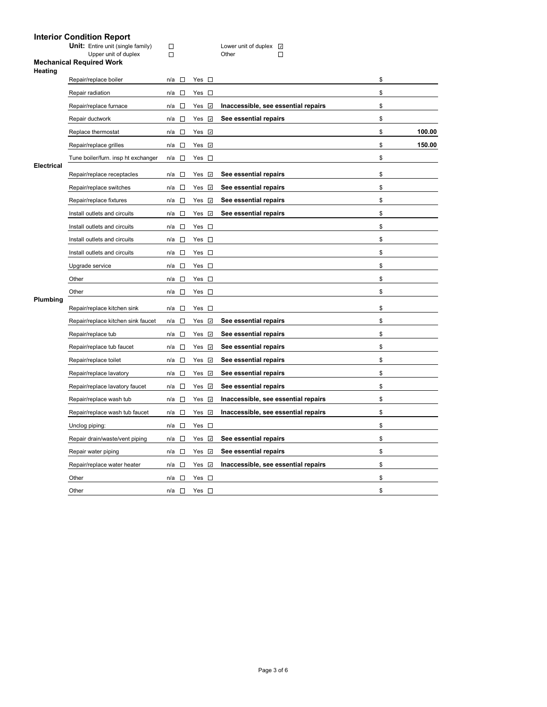# **Interior Condition Report**

|                   | <b>IIIIGHUI CUNININII REPULI</b><br><b>Unit:</b> Entire unit (single family)<br>Upper unit of duplex | $\Box$<br>$\Box$                |                 | Lower unit of duplex M<br>$\Box$<br>Other |              |
|-------------------|------------------------------------------------------------------------------------------------------|---------------------------------|-----------------|-------------------------------------------|--------------|
| Heating           | <b>Mechanical Required Work</b>                                                                      |                                 |                 |                                           |              |
|                   | Repair/replace boiler                                                                                | $\sim$<br>n/a                   | Yes $\square$   |                                           | \$           |
|                   | Repair radiation                                                                                     | $\sim$<br>n/a                   | Yes $\square$   |                                           | \$           |
|                   | Repair/replace furnace                                                                               | $\Box$<br>n/a                   | Yes M           | Inaccessible, see essential repairs       | \$           |
|                   | Repair ductwork                                                                                      | $\Box$<br>n/a                   | $\omega$<br>Yes | See essential repairs                     | \$           |
|                   | Replace thermostat                                                                                   | $\sim$<br>n/a                   | Yes <b>☑</b>    |                                           | \$<br>100.00 |
|                   | Repair/replace grilles                                                                               | □<br>n/a                        | Yes V           |                                           | \$<br>150.00 |
| <b>Electrical</b> | Tune boiler/furn. insp ht exchanger                                                                  | П<br>n/a                        | Yes $\square$   |                                           | \$           |
|                   | Repair/replace receptacles                                                                           | $\overline{\phantom{a}}$<br>n/a | $\omega$<br>Yes | See essential repairs                     | \$           |
|                   | Repair/replace switches                                                                              | n/a<br>П                        | $\omega$<br>Yes | See essential repairs                     | \$           |
|                   | Repair/replace fixtures                                                                              | $\overline{\phantom{a}}$<br>n/a | $\omega$<br>Yes | See essential repairs                     | \$           |
|                   | Install outlets and circuits                                                                         | $\sim$<br>n/a                   | $\omega$<br>Yes | See essential repairs                     | \$           |
|                   | Install outlets and circuits                                                                         | $\overline{\phantom{a}}$<br>n/a | $\sim$<br>Yes   |                                           | \$           |
|                   | Install outlets and circuits                                                                         | n/a<br>$\overline{\phantom{a}}$ | Yes $\square$   |                                           | \$           |
|                   | Install outlets and circuits                                                                         | $\overline{\phantom{a}}$<br>n/a | Yes □           |                                           | \$           |
|                   | Upgrade service                                                                                      | $\sim$<br>n/a                   | Yes $\square$   |                                           | \$           |
|                   | Other                                                                                                | $\overline{\phantom{a}}$<br>n/a | Yes $\square$   |                                           | \$           |
|                   | Other                                                                                                | $\overline{\phantom{a}}$<br>n/a | Yes $\square$   |                                           | \$           |
| Plumbing          | Repair/replace kitchen sink                                                                          | n/a<br><b>TO</b>                | Yes<br>$\sim$   |                                           | \$           |
|                   | Repair/replace kitchen sink faucet                                                                   | n/a<br>$\overline{\phantom{a}}$ | Yes <i>⊽</i>    | See essential repairs                     | \$           |
|                   | Repair/replace tub                                                                                   | n/a<br>$\overline{a}$           | $\omega$<br>Yes | See essential repairs                     | \$           |
|                   | Repair/replace tub faucet                                                                            | $\sim$<br>n/a                   | Yes <i>⊽</i>    | See essential repairs                     | \$           |
|                   | Repair/replace toilet                                                                                | n/a<br>П                        | $\omega$<br>Yes | See essential repairs                     | \$           |
|                   | Repair/replace lavatory                                                                              | n/a<br>$\overline{\phantom{a}}$ | Yes<br>$\omega$ | See essential repairs                     | \$           |
|                   | Repair/replace lavatory faucet                                                                       | n/a<br>$\overline{a}$           | $\omega$<br>Yes | See essential repairs                     | \$           |
|                   | Repair/replace wash tub                                                                              | $\Box$<br>n/a                   | Yes <i>⊡</i>    | Inaccessible, see essential repairs       | \$           |
|                   | Repair/replace wash tub faucet                                                                       | n/a<br>$\sim$                   | $\omega$<br>Yes | Inaccessible, see essential repairs       | \$           |
|                   | Unclog piping:                                                                                       | n/a<br>$\overline{\phantom{a}}$ | Yes $\square$   |                                           | \$           |
|                   | Repair drain/waste/vent piping                                                                       | n/a<br>$\sim$                   | $\omega$<br>Yes | See essential repairs                     | \$           |
|                   | Repair water piping                                                                                  | $\sim$<br>n/a                   | Yes ⊡           | See essential repairs                     | \$           |
|                   | Repair/replace water heater                                                                          | $\sim$<br>n/a                   | Yes<br>$\omega$ | Inaccessible, see essential repairs       | \$           |

Other  $n/a \Box$  Yes  $\Box$ Other  $n/a$   $\square$  Yes  $\square$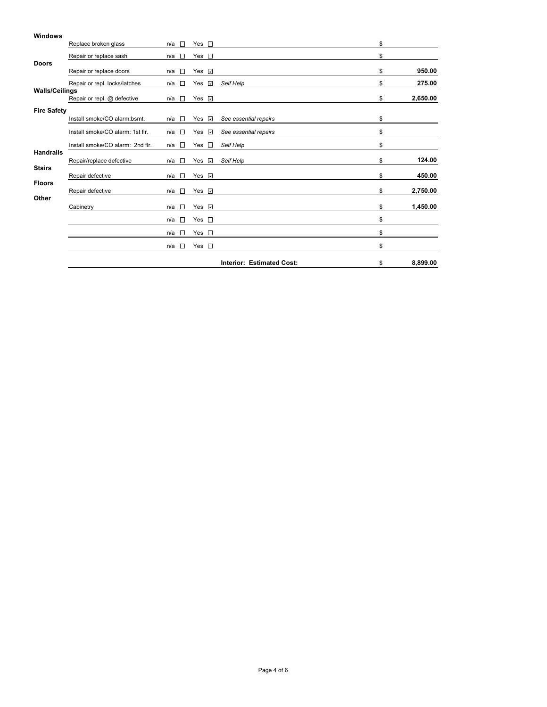## **Windows** Replace broken glass n/a  $\Box$  Yes  $\Box$  \$ Repair or replace sash n/a  $\Box$  Yes  $\Box$ **Doors** Repair or replace doors n/a □ Yes **□** and the set of the set of the set of the **950.00 \$** 950.00 Repair or repl. locks/latches n/a Yes *Self Help* \$ **275.00 Walls/Ceilings Repair or repl. @ defective n/a □ Yes □** and the set of the set of the set of the set of the set of the set of the set of the set of the set of the set of the set of the set of the set of the set of the set of the set of **Fire Safety**<br>Install smoke/CO alarm:bsmt. Install smoke/CO alarm:bsmt. n/a Yes *See essential repairs* \$ Install smoke/CO alarm: 1st flr. n/a □ Yes *⊡* See essential repairs **\$** \$ Install smoke/CO alarm: 2nd flr. n/a  $\Box$  Yes  $\Box$  Self Help \$ **Handrails** Repair/replace defective n/a □ Yes *⊡* Self Help **blues and Self Accord \$ 124.00 Stairs** Repair defective n/a □ Yes **□** and the set of the set of the set of the set of the set of the set of the set of the set of the set of the set of the set of the set of the set of the set of the set of the set of the set of **Floors** Repair defective n/a □ Yes **□** and the state of the state of the state of the **2,750.00 Other** Cabinetry **n/a □** Yes **□ 1,450.00 \$ 1,450.00**  $n/a \Box$  Yes  $\Box$  $n/a \Box$  Yes  $\Box$  $n/a \Box$  Yes  $\Box$ **Interior: Estimated Cost:** \$ **8,899.00**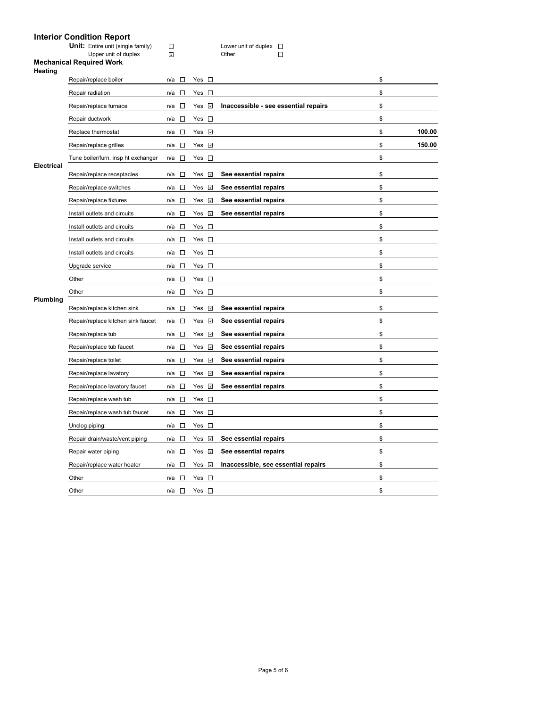|                   | <b>Interior Condition Report</b><br><b>Unit:</b> Entire unit (single family) | $\Box$                             |                                    | Lower unit of duplex $\square$       |              |
|-------------------|------------------------------------------------------------------------------|------------------------------------|------------------------------------|--------------------------------------|--------------|
| Heating           | Upper unit of duplex<br><b>Mechanical Required Work</b>                      | $\mathcal{A}$                      |                                    | Other<br>$\mathcal{L}$               |              |
|                   | Repair/replace boiler                                                        | n/a<br><b>COLLEGE</b>              | Yes $\square$                      |                                      | \$           |
|                   | Repair radiation                                                             | $\Box$<br>n/a                      | Yes $\square$                      |                                      | \$           |
|                   | Repair/replace furnace                                                       | $\sim$<br>n/a                      | Yes <b>☑</b>                       | Inaccessible - see essential repairs | \$           |
|                   | Repair ductwork                                                              | $\overline{\phantom{a}}$<br>n/a    | Yes $\square$                      |                                      | \$           |
|                   | Replace thermostat                                                           | П<br>n/a                           | Yes <b>☑</b>                       |                                      | \$<br>100.00 |
|                   | Repair/replace grilles                                                       | $\Box$<br>n/a                      | Yes <b>☑</b>                       |                                      | \$<br>150.00 |
|                   | Tune boiler/furn. insp ht exchanger                                          | $\sim$<br>n/a                      | Yes $\square$                      |                                      | \$           |
| <b>Electrical</b> | Repair/replace receptacles                                                   | $\Box$<br>n/a                      | Yes $\sqrt{2}$                     | See essential repairs                | \$           |
|                   | Repair/replace switches                                                      | $\Box$<br>n/a                      | Yes $\sqrt{2}$                     | See essential repairs                | \$           |
|                   | Repair/replace fixtures                                                      | n/a<br>□                           | Yes <b>☑</b>                       | See essential repairs                | \$           |
|                   | Install outlets and circuits                                                 | n/a<br>$\Box$                      | Yes <b>☑</b>                       | See essential repairs                | \$           |
|                   | Install outlets and circuits                                                 | $\Box$<br>n/a                      | Yes $\square$                      |                                      | \$           |
|                   | Install outlets and circuits                                                 | □<br>n/a                           | Yes $\square$                      |                                      | \$           |
|                   | Install outlets and circuits                                                 | $\Box$<br>n/a                      | Yes $\square$                      |                                      | \$           |
|                   | Upgrade service                                                              | $\sim$<br>n/a                      | Yes $\square$                      |                                      | \$           |
|                   | Other                                                                        | □<br>n/a                           | $\mathcal{L}_{\mathcal{A}}$<br>Yes |                                      | \$           |
|                   | Other                                                                        | n/a<br>п                           | Yes $\square$                      |                                      | \$           |
| Plumbing          | Repair/replace kitchen sink                                                  | $\Box$<br>n/a                      | $\omega$<br>Yes                    | See essential repairs                | \$           |
|                   | Repair/replace kitchen sink faucet                                           | n/a<br>□                           | $\omega$<br>Yes                    | See essential repairs                | \$           |
|                   | Repair/replace tub                                                           | $\mathcal{L}_{\mathcal{A}}$<br>n/a | Yes <b>☑</b>                       | See essential repairs                | \$           |
|                   | Repair/replace tub faucet                                                    | n/a<br>$\sim$                      | $\omega$<br>Yes                    | See essential repairs                | \$           |
|                   | Repair/replace toilet                                                        | n/a<br>П                           | $\omega$<br>Yes                    | See essential repairs                | \$           |
|                   | Repair/replace lavatory                                                      | $\sim$<br>n/a                      | Yes <b>☑</b>                       | See essential repairs                | \$           |
|                   | Repair/replace lavatory faucet                                               | $\Box$<br>n/a                      | Yes <b>☑</b>                       | See essential repairs                | \$           |
|                   | Repair/replace wash tub                                                      | $\sim$<br>n/a                      | Yes $\square$                      |                                      | \$           |
|                   | Repair/replace wash tub faucet                                               | $\overline{\phantom{a}}$<br>n/a    | Yes $\square$                      |                                      | \$           |
|                   | Unclog piping:                                                               | $\Box$<br>n/a                      | Yes $\square$                      |                                      | \$           |
|                   | Repair drain/waste/vent piping                                               | n/a<br>$\Box$                      | Yes $\sqrt{2}$                     | See essential repairs                | \$           |
|                   | Repair water piping                                                          | П<br>n/a                           | Yes M                              | See essential repairs                | \$           |

Repair/replace water heater n/a  $\Box$  Yes  $\Box$  **Inaccessible, see essential repairs** \$ Other  $n/a \Box$  Yes  $\Box$ Other  $n/a \Box$  Yes  $\Box$